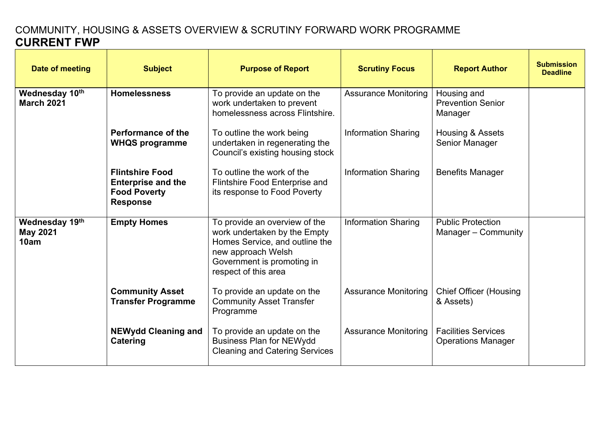## COMMUNITY, HOUSING & ASSETS OVERVIEW & SCRUTINY FORWARD WORK PROGRAMME **CURRENT FWP**

| Date of meeting                           | <b>Subject</b>                                                                                | <b>Purpose of Report</b>                                                                                                                                                    | <b>Scrutiny Focus</b>       | <b>Report Author</b>                                    | <b>Submission</b><br><b>Deadline</b> |
|-------------------------------------------|-----------------------------------------------------------------------------------------------|-----------------------------------------------------------------------------------------------------------------------------------------------------------------------------|-----------------------------|---------------------------------------------------------|--------------------------------------|
| Wednesday 10th<br><b>March 2021</b>       | <b>Homelessness</b>                                                                           | To provide an update on the<br>work undertaken to prevent<br>homelessness across Flintshire.                                                                                | <b>Assurance Monitoring</b> | Housing and<br><b>Prevention Senior</b><br>Manager      |                                      |
|                                           | Performance of the<br><b>WHQS programme</b>                                                   | To outline the work being<br>undertaken in regenerating the<br>Council's existing housing stock                                                                             | <b>Information Sharing</b>  | Housing & Assets<br>Senior Manager                      |                                      |
|                                           | <b>Flintshire Food</b><br><b>Enterprise and the</b><br><b>Food Poverty</b><br><b>Response</b> | To outline the work of the<br>Flintshire Food Enterprise and<br>its response to Food Poverty                                                                                | <b>Information Sharing</b>  | <b>Benefits Manager</b>                                 |                                      |
| Wednesday 19th<br><b>May 2021</b><br>10am | <b>Empty Homes</b>                                                                            | To provide an overview of the<br>work undertaken by the Empty<br>Homes Service, and outline the<br>new approach Welsh<br>Government is promoting in<br>respect of this area | <b>Information Sharing</b>  | <b>Public Protection</b><br>Manager – Community         |                                      |
|                                           | <b>Community Asset</b><br><b>Transfer Programme</b>                                           | To provide an update on the<br><b>Community Asset Transfer</b><br>Programme                                                                                                 | <b>Assurance Monitoring</b> | <b>Chief Officer (Housing</b><br>& Assets)              |                                      |
|                                           | <b>NEWydd Cleaning and</b><br>Catering                                                        | To provide an update on the<br><b>Business Plan for NEWydd</b><br><b>Cleaning and Catering Services</b>                                                                     | <b>Assurance Monitoring</b> | <b>Facilities Services</b><br><b>Operations Manager</b> |                                      |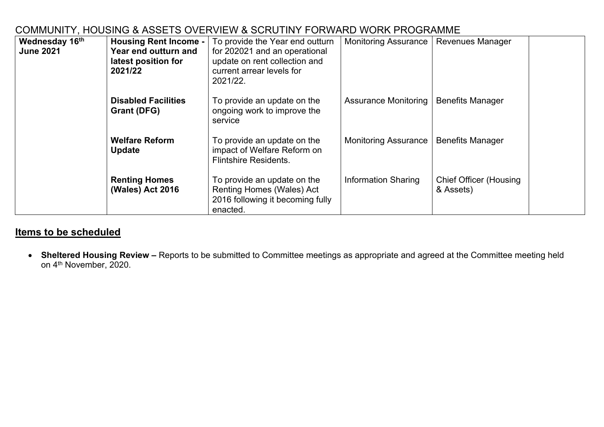| COMMUNITY, HOUSING & ASSETS OVERVIEW & SCRUTINY FORWARD WORK PROGRAMME |  |
|------------------------------------------------------------------------|--|
|                                                                        |  |

| Wednesday 16th<br><b>June 2021</b> | <b>Housing Rent Income -</b><br><b>Year end outturn and</b><br>latest position for<br>2021/22 | To provide the Year end outturn<br>for 202021 and an operational<br>update on rent collection and<br>current arrear levels for<br>2021/22. | <b>Monitoring Assurance</b> | <b>Revenues Manager</b>                    |
|------------------------------------|-----------------------------------------------------------------------------------------------|--------------------------------------------------------------------------------------------------------------------------------------------|-----------------------------|--------------------------------------------|
|                                    | <b>Disabled Facilities</b><br>Grant (DFG)                                                     | To provide an update on the<br>ongoing work to improve the<br>service                                                                      | <b>Assurance Monitoring</b> | <b>Benefits Manager</b>                    |
|                                    | <b>Welfare Reform</b><br><b>Update</b>                                                        | To provide an update on the<br>impact of Welfare Reform on<br><b>Flintshire Residents.</b>                                                 | <b>Monitoring Assurance</b> | <b>Benefits Manager</b>                    |
|                                    | <b>Renting Homes</b><br><b>(Wales) Act 2016</b>                                               | To provide an update on the<br><b>Renting Homes (Wales) Act</b><br>2016 following it becoming fully<br>enacted.                            | <b>Information Sharing</b>  | <b>Chief Officer (Housing</b><br>& Assets) |

## **Items to be scheduled**

 **Sheltered Housing Review –** Reports to be submitted to Committee meetings as appropriate and agreed at the Committee meeting held on 4<sup>th</sup> November, 2020.